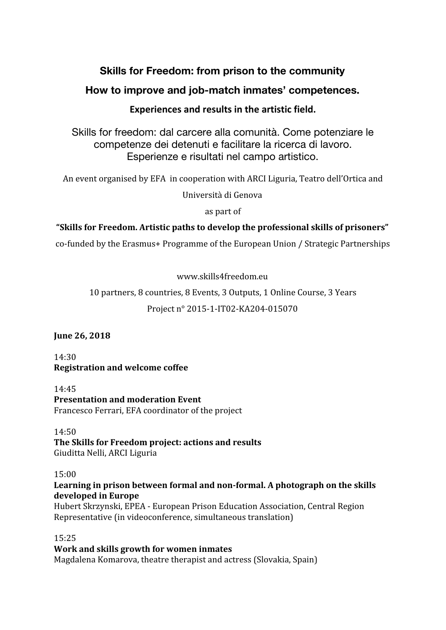# **Skills for Freedom: from prison to the community**

# **How to improve and job-match inmates' competences.**

## **Experiences and results in the artistic field.**

Skills for freedom: dal carcere alla comunità. Come potenziare le competenze dei detenuti e facilitare la ricerca di lavoro. Esperienze e risultati nel campo artistico.

An event organised by EFA in cooperation with ARCI Liguria, Teatro dell'Ortica and

Università di Genova

as part of

# **"Skills for Freedom. Artistic paths to develop the professional skills of prisoners"**

co-funded by the Erasmus+ Programme of the European Union / Strategic Partnerships

www.skills4freedom.eu

10 partners, 8 countries, 8 Events, 3 Outputs, 1 Online Course, 3 Years

## Project n° 2015-1-IT02-KA204-015070

## **June 26, 2018**

14:30 **Registration and welcome coffee**

14:45 **Presentation and moderation Event** Francesco Ferrari, EFA coordinator of the project

14:50 **The Skills for Freedom project: actions and results** Giuditta Nelli, ARCI Liguria

15:00

## **Learning in prison between formal and non-formal. A photograph on the skills developed in Europe**

Hubert Skrzynski, EPEA - European Prison Education Association, Central Region Representative (in videoconference, simultaneous translation)

15:25

# **Work and skills growth for women inmates**

Magdalena Komarova, theatre therapist and actress (Slovakia, Spain)